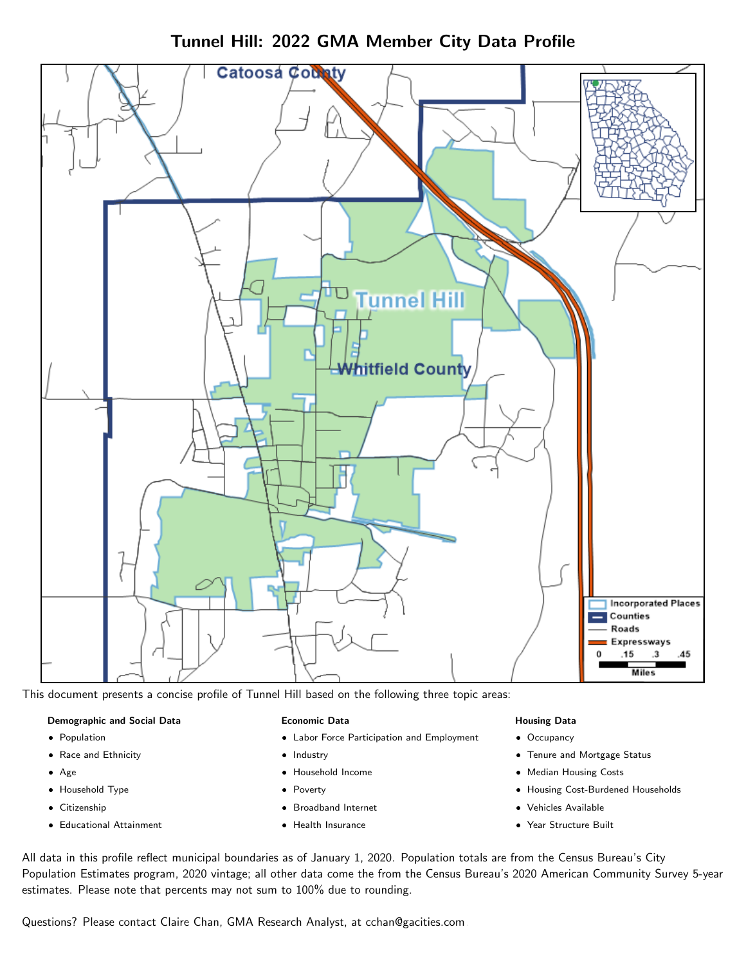

Tunnel Hill: 2022 GMA Member City Data Profile

This document presents a concise profile of Tunnel Hill based on the following three topic areas:

#### Demographic and Social Data

- **•** Population
- Race and Ethnicity
- Age
- Household Type
- **Citizenship**
- Educational Attainment

#### Economic Data

- Labor Force Participation and Employment
- Industry
- Household Income
- Poverty
- Broadband Internet
- Health Insurance

#### Housing Data

- Occupancy
- Tenure and Mortgage Status
- Median Housing Costs
- Housing Cost-Burdened Households
- Vehicles Available
- Year Structure Built

All data in this profile reflect municipal boundaries as of January 1, 2020. Population totals are from the Census Bureau's City Population Estimates program, 2020 vintage; all other data come the from the Census Bureau's 2020 American Community Survey 5-year estimates. Please note that percents may not sum to 100% due to rounding.

Questions? Please contact Claire Chan, GMA Research Analyst, at [cchan@gacities.com.](mailto:cchan@gacities.com)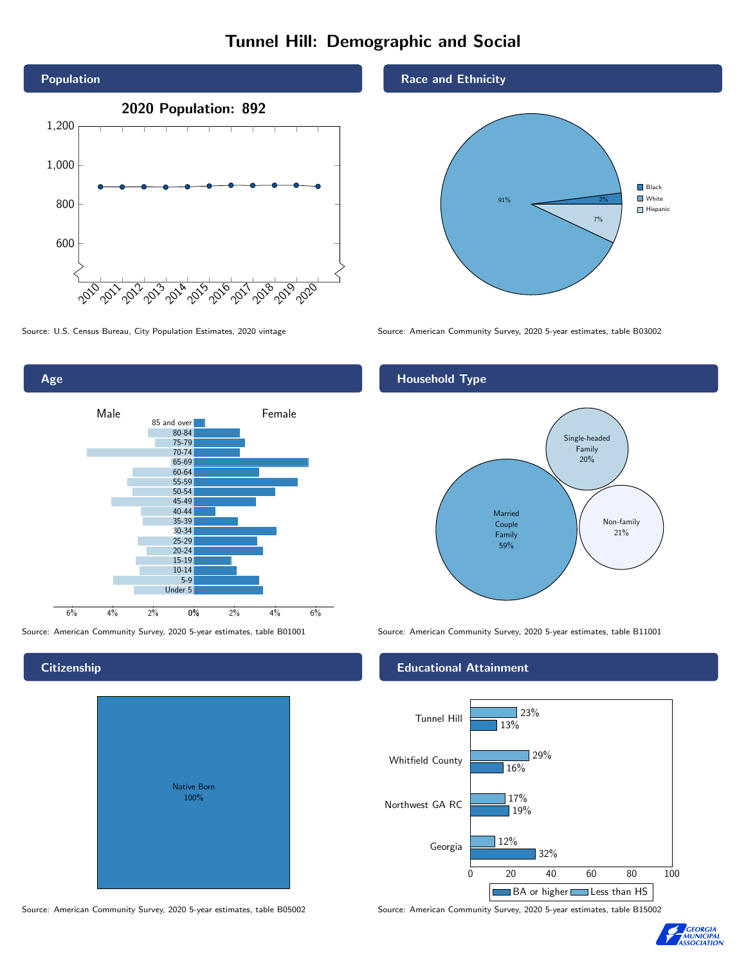# Tunnel Hill: Demographic and Social



0% 2% 4% 6% Male and Allen and Temale 6% 4% 2% 85 and over 80-84 75-79 70-74 65-69 60-64 55-59 50-54 45-49 40-44 35-39 30-34 25-29 20-24 15-19 10-14 5-9 Under 5

## **Citizenship**

Age

|  | <b>Native Born</b><br>100% |  |  |
|--|----------------------------|--|--|
|  |                            |  |  |

Race and Ethnicity



Source: U.S. Census Bureau, City Population Estimates, 2020 vintage Source: American Community Survey, 2020 5-year estimates, table B03002

#### Household Type



Source: American Community Survey, 2020 5-year estimates, table B01001 Source: American Community Survey, 2020 5-year estimates, table B11001

#### Educational Attainment



Source: American Community Survey, 2020 5-year estimates, table B05002 Source: American Community Survey, 2020 5-year estimates, table B15002

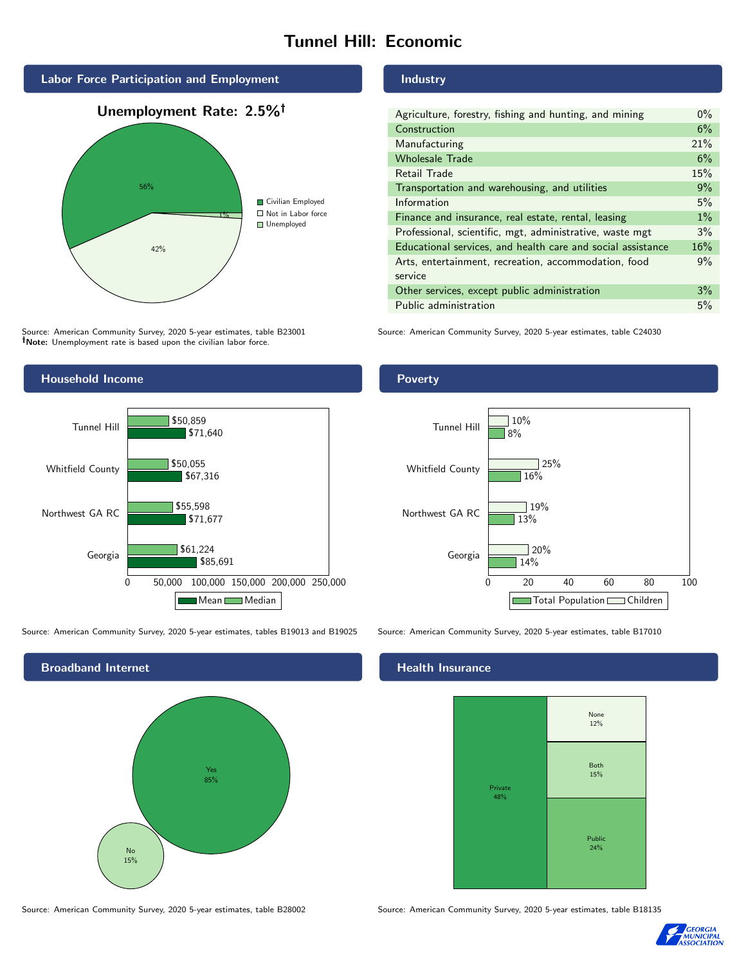## Tunnel Hill: Economic



Source: American Community Survey, 2020 5-year estimates, table B23001 Note: Unemployment rate is based upon the civilian labor force.

#### Industry

| Agriculture, forestry, fishing and hunting, and mining      |     |  |  |
|-------------------------------------------------------------|-----|--|--|
| Construction                                                | 6%  |  |  |
| Manufacturing                                               | 21% |  |  |
| <b>Wholesale Trade</b>                                      | 6%  |  |  |
| Retail Trade                                                | 15% |  |  |
| Transportation and warehousing, and utilities               |     |  |  |
| Information                                                 | 5%  |  |  |
| Finance and insurance, real estate, rental, leasing         |     |  |  |
| Professional, scientific, mgt, administrative, waste mgt    |     |  |  |
| Educational services, and health care and social assistance |     |  |  |
| Arts, entertainment, recreation, accommodation, food        |     |  |  |
| service                                                     |     |  |  |
| Other services, except public administration                |     |  |  |
| Public administration                                       |     |  |  |

Source: American Community Survey, 2020 5-year estimates, table C24030



Source: American Community Survey, 2020 5-year estimates, tables B19013 and B19025 Source: American Community Survey, 2020 5-year estimates, table B17010



#### Poverty



#### Health Insurance



Source: American Community Survey, 2020 5-year estimates, table B28002 Source: American Community Survey, 2020 5-year estimates, table B18135